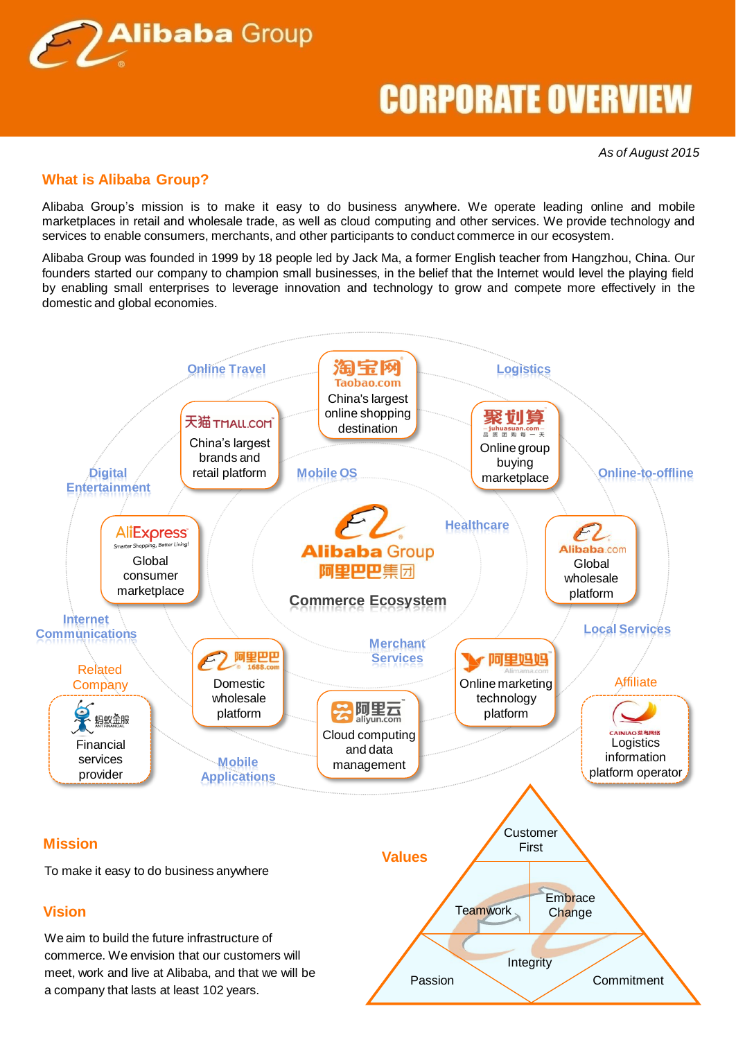

*As of August 2015*

### **What is Alibaba Group?**

Alibaba Group's mission is to make it easy to do business anywhere. We operate leading online and mobile marketplaces in retail and wholesale trade, as well as cloud computing and other services. We provide technology and services to enable consumers, merchants, and other participants to conduct commerce in our ecosystem.

Alibaba Group was founded in 1999 by 18 people led by Jack Ma, a former English teacher from Hangzhou, China. Our founders started our company to champion small businesses, in the belief that the Internet would level the playing field by enabling small enterprises to leverage innovation and technology to grow and compete more effectively in the domestic and global economies.

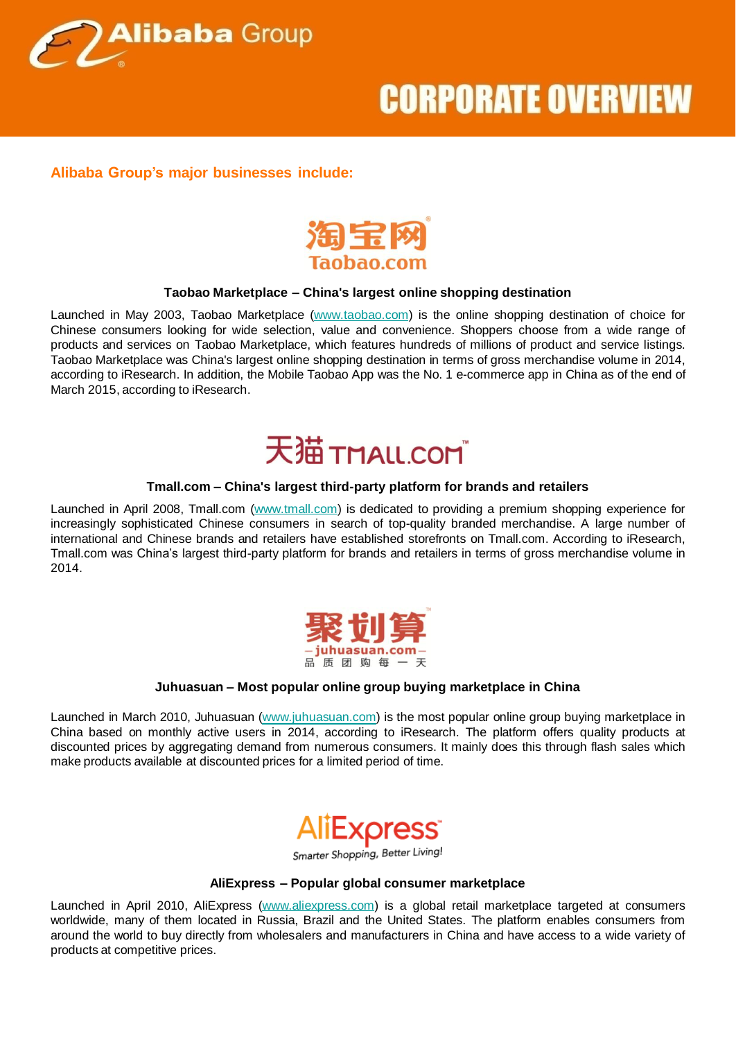

### **Alibaba Group's major businesses include:**



### **Taobao Marketplace – China's largest online shopping destination**

Launched in May 2003, Taobao Marketplace [\(www.taobao.com\)](http://www.taobao.com/) is the online shopping destination of choice for Chinese consumers looking for wide selection, value and convenience. Shoppers choose from a wide range of products and services on Taobao Marketplace, which features hundreds of millions of product and service listings. Taobao Marketplace was China's largest online shopping destination in terms of gross merchandise volume in 2014, according to iResearch. In addition, the Mobile Taobao App was the No. 1 e-commerce app in China as of the end of March 2015, according to iResearch.

### 天猫THALLCOM

#### **Tmall.com – China's largest third-party platform for brands and retailers**

Launched in April 2008, Tmall.com [\(www.tmall.com](http://www.tmall.com/)) is dedicated to providing a premium shopping experience for increasingly sophisticated Chinese consumers in search of top-quality branded merchandise. A large number of international and Chinese brands and retailers have established storefronts on Tmall.com. According to iResearch, Tmall.com was China's largest third-party platform for brands and retailers in terms of gross merchandise volume in 2014.



### **Juhuasuan – Most popular online group buying marketplace in China**

Launched in March 2010, Juhuasuan [\(www.juhuasuan.com\)](http://www.juhuasuan.com/) is the most popular online group buying marketplace in China based on monthly active users in 2014, according to iResearch. The platform offers quality products at discounted prices by aggregating demand from numerous consumers. It mainly does this through flash sales which make products available at discounted prices for a limited period of time.



Smarter Shopping, Better Living!

#### **AliExpress – Popular global consumer marketplace**

Launched in April 2010, AliExpress [\(www.aliexpress.com](http://www.aliexpress.com/)) is a global retail marketplace targeted at consumers worldwide, many of them located in Russia, Brazil and the United States. The platform enables consumers from around the world to buy directly from wholesalers and manufacturers in China and have access to a wide variety of products at competitive prices.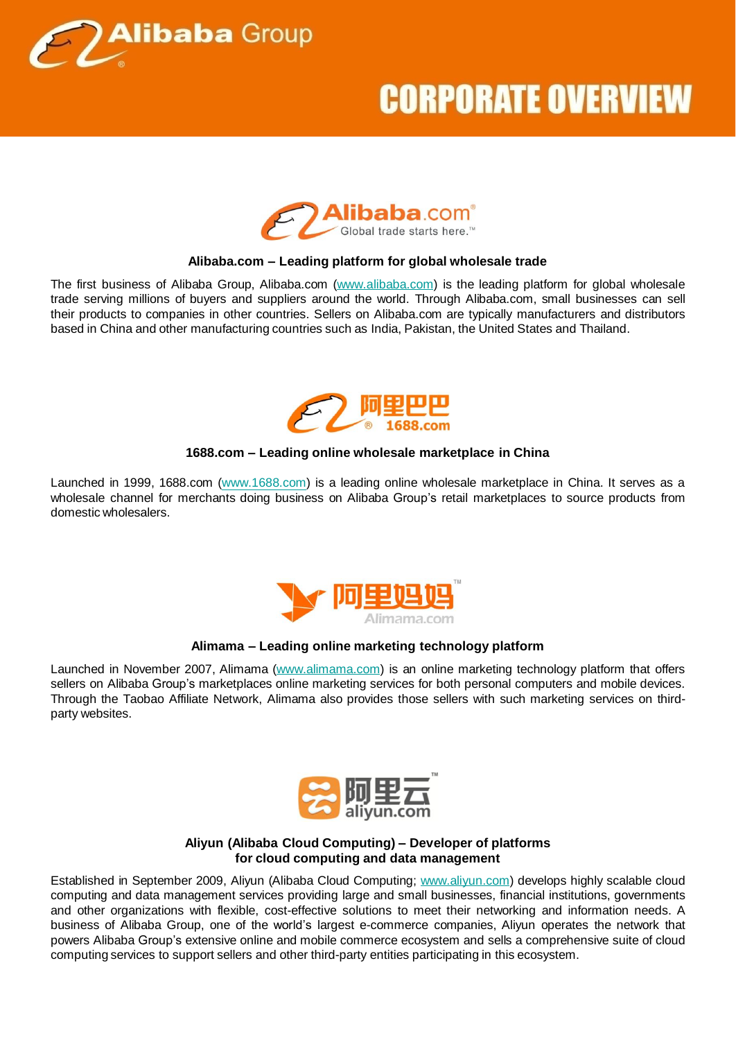



### **Alibaba.com – Leading platform for global wholesale trade**

The first business of Alibaba Group, Alibaba.com [\(www.alibaba.com](http://www.alibaba.com/)) is the leading platform for global wholesale trade serving millions of buyers and suppliers around the world. Through Alibaba.com, small businesses can sell their products to companies in other countries. Sellers on Alibaba.com are typically manufacturers and distributors based in China and other manufacturing countries such as India, Pakistan, the United States and Thailand.



### **1688.com – Leading online wholesale marketplace in China**

Launched in 1999, 1688.com ([www.1688.com](http://www.1688.com/)) is a leading online wholesale marketplace in China. It serves as a wholesale channel for merchants doing business on Alibaba Group's retail marketplaces to source products from domestic wholesalers.



### **Alimama – Leading online marketing technology platform**

Launched in November 2007, Alimama [\(www.alimama.com\)](http://www.alimama.com/) is an online marketing technology platform that offers sellers on Alibaba Group's marketplaces online marketing services for both personal computers and mobile devices. Through the Taobao Affiliate Network, Alimama also provides those sellers with such marketing services on thirdparty websites.



#### **Aliyun (Alibaba Cloud Computing) – Developer of platforms for cloud computing and data management**

Established in September 2009, Aliyun (Alibaba Cloud Computing; [www.aliyun.com\)](http://www.aliyun.com/) develops highly scalable cloud computing and data management services providing large and small businesses, financial institutions, governments and other organizations with flexible, cost-effective solutions to meet their networking and information needs. A business of Alibaba Group, one of the world's largest e-commerce companies, Aliyun operates the network that powers Alibaba Group's extensive online and mobile commerce ecosystem and sells a comprehensive suite of cloud computing services to support sellers and other third-party entities participating in this ecosystem.